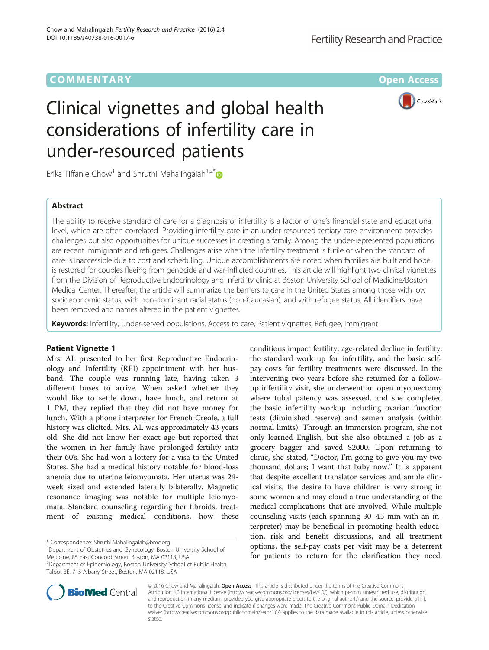## **COMMENTARY COMMENTARY COMMENTARY**



# Clinical vignettes and global health considerations of infertility care in under-resourced patients

Erika Tiffanie Chow<sup>1</sup> and Shruthi Mahalingaiah<sup>1,2\*</sup>

## Abstract

The ability to receive standard of care for a diagnosis of infertility is a factor of one's financial state and educational level, which are often correlated. Providing infertility care in an under-resourced tertiary care environment provides challenges but also opportunities for unique successes in creating a family. Among the under-represented populations are recent immigrants and refugees. Challenges arise when the infertility treatment is futile or when the standard of care is inaccessible due to cost and scheduling. Unique accomplishments are noted when families are built and hope is restored for couples fleeing from genocide and war-inflicted countries. This article will highlight two clinical vignettes from the Division of Reproductive Endocrinology and Infertility clinic at Boston University School of Medicine/Boston Medical Center. Thereafter, the article will summarize the barriers to care in the United States among those with low socioeconomic status, with non-dominant racial status (non-Caucasian), and with refugee status. All identifiers have been removed and names altered in the patient vignettes.

Keywords: Infertility, Under-served populations, Access to care, Patient vignettes, Refugee, Immigrant

## Patient Vignette 1

Mrs. AL presented to her first Reproductive Endocrinology and Infertility (REI) appointment with her husband. The couple was running late, having taken 3 different buses to arrive. When asked whether they would like to settle down, have lunch, and return at 1 PM, they replied that they did not have money for lunch. With a phone interpreter for French Creole, a full history was elicited. Mrs. AL was approximately 43 years old. She did not know her exact age but reported that the women in her family have prolonged fertility into their 60's. She had won a lottery for a visa to the United States. She had a medical history notable for blood-loss anemia due to uterine leiomyomata. Her uterus was 24 week sized and extended laterally bilaterally. Magnetic resonance imaging was notable for multiple leiomyomata. Standard counseling regarding her fibroids, treatment of existing medical conditions, how these

\* Correspondence: [Shruthi.Mahalingaiah@bmc.org](mailto:Shruthi.Mahalingaiah@bmc.org) <sup>1</sup>

<sup>2</sup>Department of Epidemiology, Boston University School of Public Health, Talbot 3E, 715 Albany Street, Boston, MA 02118, USA

conditions impact fertility, age-related decline in fertility, the standard work up for infertility, and the basic selfpay costs for fertility treatments were discussed. In the intervening two years before she returned for a followup infertility visit, she underwent an open myomectomy where tubal patency was assessed, and she completed the basic infertility workup including ovarian function tests (diminished reserve) and semen analysis (within normal limits). Through an immersion program, she not only learned English, but she also obtained a job as a grocery bagger and saved \$2000. Upon returning to clinic, she stated, "Doctor, I'm going to give you my two thousand dollars; I want that baby now." It is apparent that despite excellent translator services and ample clinical visits, the desire to have children is very strong in some women and may cloud a true understanding of the medical complications that are involved. While multiple counseling visits (each spanning 30–45 min with an interpreter) may be beneficial in promoting health education, risk and benefit discussions, and all treatment options, the self-pay costs per visit may be a deterrent for patients to return for the clarification they need.



© 2016 Chow and Mahalingaiah. Open Access This article is distributed under the terms of the Creative Commons Attribution 4.0 International License [\(http://creativecommons.org/licenses/by/4.0/](http://creativecommons.org/licenses/by/4.0/)), which permits unrestricted use, distribution, and reproduction in any medium, provided you give appropriate credit to the original author(s) and the source, provide a link to the Creative Commons license, and indicate if changes were made. The Creative Commons Public Domain Dedication waiver [\(http://creativecommons.org/publicdomain/zero/1.0/\)](http://creativecommons.org/publicdomain/zero/1.0/) applies to the data made available in this article, unless otherwise stated

<sup>&</sup>lt;sup>1</sup>Department of Obstetrics and Gynecology, Boston University School of Medicine, 85 East Concord Street, Boston, MA 02118, USA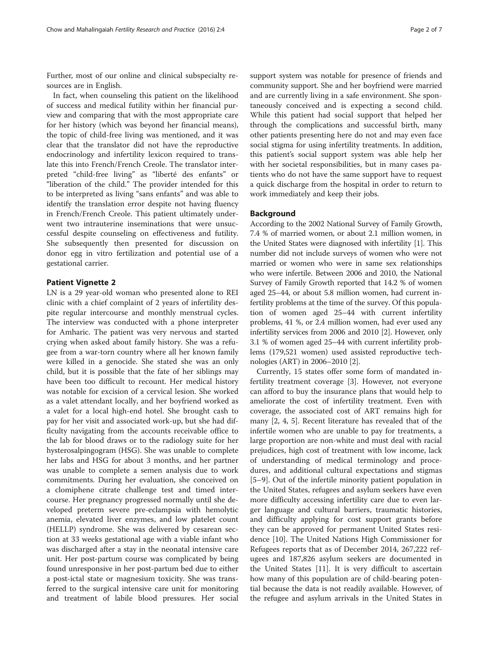Further, most of our online and clinical subspecialty resources are in English.

In fact, when counseling this patient on the likelihood of success and medical futility within her financial purview and comparing that with the most appropriate care for her history (which was beyond her financial means), the topic of child-free living was mentioned, and it was clear that the translator did not have the reproductive endocrinology and infertility lexicon required to translate this into French/French Creole. The translator interpreted "child-free living" as "liberté des enfants" or "liberation of the child." The provider intended for this to be interpreted as living "sans enfants" and was able to identify the translation error despite not having fluency in French/French Creole. This patient ultimately underwent two intrauterine inseminations that were unsuccessful despite counseling on effectiveness and futility. She subsequently then presented for discussion on donor egg in vitro fertilization and potential use of a gestational carrier.

## Patient Vignette 2

LN is a 29 year-old woman who presented alone to REI clinic with a chief complaint of 2 years of infertility despite regular intercourse and monthly menstrual cycles. The interview was conducted with a phone interpreter for Amharic. The patient was very nervous and started crying when asked about family history. She was a refugee from a war-torn country where all her known family were killed in a genocide. She stated she was an only child, but it is possible that the fate of her siblings may have been too difficult to recount. Her medical history was notable for excision of a cervical lesion. She worked as a valet attendant locally, and her boyfriend worked as a valet for a local high-end hotel. She brought cash to pay for her visit and associated work-up, but she had difficulty navigating from the accounts receivable office to the lab for blood draws or to the radiology suite for her hysterosalpingogram (HSG). She was unable to complete her labs and HSG for about 3 months, and her partner was unable to complete a semen analysis due to work commitments. During her evaluation, she conceived on a clomiphene citrate challenge test and timed intercourse. Her pregnancy progressed normally until she developed preterm severe pre-eclampsia with hemolytic anemia, elevated liver enzymes, and low platelet count (HELLP) syndrome. She was delivered by cesarean section at 33 weeks gestational age with a viable infant who was discharged after a stay in the neonatal intensive care unit. Her post-partum course was complicated by being found unresponsive in her post-partum bed due to either a post-ictal state or magnesium toxicity. She was transferred to the surgical intensive care unit for monitoring and treatment of labile blood pressures. Her social

support system was notable for presence of friends and community support. She and her boyfriend were married and are currently living in a safe environment. She spontaneously conceived and is expecting a second child. While this patient had social support that helped her through the complications and successful birth, many other patients presenting here do not and may even face social stigma for using infertility treatments. In addition, this patient's social support system was able help her with her societal responsibilities, but in many cases patients who do not have the same support have to request a quick discharge from the hospital in order to return to work immediately and keep their jobs.

## Background

According to the 2002 National Survey of Family Growth, 7.4 % of married women, or about 2.1 million women, in the United States were diagnosed with infertility [\[1](#page-5-0)]. This number did not include surveys of women who were not married or women who were in same sex relationships who were infertile. Between 2006 and 2010, the National Survey of Family Growth reported that 14.2 % of women aged 25–44, or about 5.8 million women, had current infertility problems at the time of the survey. Of this population of women aged 25–44 with current infertility problems, 41 %, or 2.4 million women, had ever used any infertility services from 2006 and 2010 [[2](#page-5-0)]. However, only 3.1 % of women aged 25–44 with current infertility problems (179,521 women) used assisted reproductive technologies (ART) in 2006–2010 [[2\]](#page-5-0).

Currently, 15 states offer some form of mandated infertility treatment coverage [[3](#page-5-0)]. However, not everyone can afford to buy the insurance plans that would help to ameliorate the cost of infertility treatment. Even with coverage, the associated cost of ART remains high for many [[2, 4](#page-5-0), [5\]](#page-5-0). Recent literature has revealed that of the infertile women who are unable to pay for treatments, a large proportion are non-white and must deal with racial prejudices, high cost of treatment with low income, lack of understanding of medical terminology and procedures, and additional cultural expectations and stigmas [[5](#page-5-0)–[9\]](#page-5-0). Out of the infertile minority patient population in the United States, refugees and asylum seekers have even more difficulty accessing infertility care due to even larger language and cultural barriers, traumatic histories, and difficulty applying for cost support grants before they can be approved for permanent United States residence [\[10\]](#page-5-0). The United Nations High Commissioner for Refugees reports that as of December 2014, 267,222 refugees and 187,826 asylum seekers are documented in the United States [[11](#page-5-0)]. It is very difficult to ascertain how many of this population are of child-bearing potential because the data is not readily available. However, of the refugee and asylum arrivals in the United States in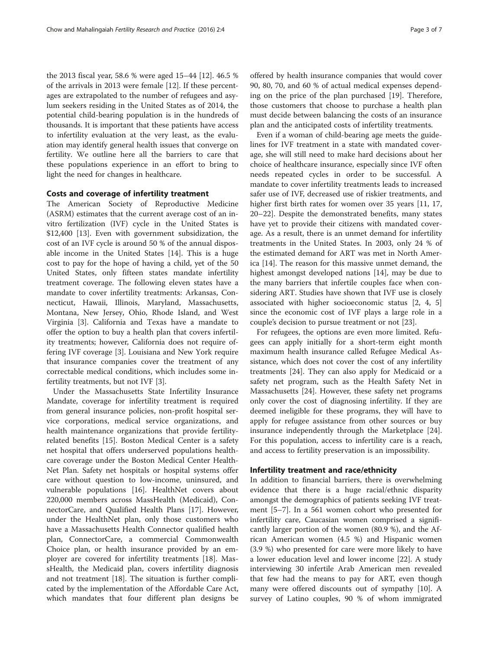the 2013 fiscal year, 58.6 % were aged 15–44 [[12](#page-5-0)]. 46.5 % of the arrivals in 2013 were female [\[12\]](#page-5-0). If these percentages are extrapolated to the number of refugees and asylum seekers residing in the United States as of 2014, the potential child-bearing population is in the hundreds of thousands. It is important that these patients have access to infertility evaluation at the very least, as the evaluation may identify general health issues that converge on fertility. We outline here all the barriers to care that these populations experience in an effort to bring to light the need for changes in healthcare.

### Costs and coverage of infertility treatment

The American Society of Reproductive Medicine (ASRM) estimates that the current average cost of an invitro fertilization (IVF) cycle in the United States is \$12,400 [\[13](#page--1-0)]. Even with government subsidization, the cost of an IVF cycle is around 50 % of the annual disposable income in the United States [[14\]](#page--1-0). This is a huge cost to pay for the hope of having a child, yet of the 50 United States, only fifteen states mandate infertility treatment coverage. The following eleven states have a mandate to cover infertility treatments: Arkansas, Connecticut, Hawaii, Illinois, Maryland, Massachusetts, Montana, New Jersey, Ohio, Rhode Island, and West Virginia [[3\]](#page-5-0). California and Texas have a mandate to offer the option to buy a health plan that covers infertility treatments; however, California does not require offering IVF coverage [\[3\]](#page-5-0). Louisiana and New York require that insurance companies cover the treatment of any correctable medical conditions, which includes some infertility treatments, but not IVF [[3](#page-5-0)].

Under the Massachusetts State Infertility Insurance Mandate, coverage for infertility treatment is required from general insurance policies, non-profit hospital service corporations, medical service organizations, and health maintenance organizations that provide fertilityrelated benefits [[15\]](#page--1-0). Boston Medical Center is a safety net hospital that offers underserved populations healthcare coverage under the Boston Medical Center Health-Net Plan. Safety net hospitals or hospital systems offer care without question to low-income, uninsured, and vulnerable populations [[16](#page--1-0)]. HealthNet covers about 220,000 members across MassHealth (Medicaid), ConnectorCare, and Qualified Health Plans [[17](#page--1-0)]. However, under the HealthNet plan, only those customers who have a Massachusetts Health Connector qualified health plan, ConnectorCare, a commercial Commonwealth Choice plan, or health insurance provided by an employer are covered for infertility treatments [[18\]](#page--1-0). MassHealth, the Medicaid plan, covers infertility diagnosis and not treatment [\[18](#page--1-0)]. The situation is further complicated by the implementation of the Affordable Care Act, which mandates that four different plan designs be offered by health insurance companies that would cover 90, 80, 70, and 60 % of actual medical expenses depending on the price of the plan purchased [[19\]](#page--1-0). Therefore, those customers that choose to purchase a health plan must decide between balancing the costs of an insurance plan and the anticipated costs of infertility treatments.

Even if a woman of child-bearing age meets the guidelines for IVF treatment in a state with mandated coverage, she will still need to make hard decisions about her choice of healthcare insurance, especially since IVF often needs repeated cycles in order to be successful. A mandate to cover infertility treatments leads to increased safer use of IVF, decreased use of riskier treatments, and higher first birth rates for women over 35 years [\[11,](#page-5-0) [17](#page--1-0), [20](#page--1-0)–[22](#page--1-0)]. Despite the demonstrated benefits, many states have yet to provide their citizens with mandated coverage. As a result, there is an unmet demand for infertility treatments in the United States. In 2003, only 24 % of the estimated demand for ART was met in North America [\[14](#page--1-0)]. The reason for this massive unmet demand, the highest amongst developed nations [\[14](#page--1-0)], may be due to the many barriers that infertile couples face when considering ART. Studies have shown that IVF use is closely associated with higher socioeconomic status [\[2](#page-5-0), [4, 5](#page-5-0)] since the economic cost of IVF plays a large role in a couple's decision to pursue treatment or not [[23](#page--1-0)].

For refugees, the options are even more limited. Refugees can apply initially for a short-term eight month maximum health insurance called Refugee Medical Assistance, which does not cover the cost of any infertility treatments [[24\]](#page--1-0). They can also apply for Medicaid or a safety net program, such as the Health Safety Net in Massachusetts [[24\]](#page--1-0). However, these safety net programs only cover the cost of diagnosing infertility. If they are deemed ineligible for these programs, they will have to apply for refugee assistance from other sources or buy insurance independently through the Marketplace [\[24](#page--1-0)]. For this population, access to infertility care is a reach, and access to fertility preservation is an impossibility.

## Infertility treatment and race/ethnicity

In addition to financial barriers, there is overwhelming evidence that there is a huge racial/ethnic disparity amongst the demographics of patients seeking IVF treatment [[5](#page-5-0)–[7\]](#page-5-0). In a 561 women cohort who presented for infertility care, Caucasian women comprised a significantly larger portion of the women (80.9 %), and the African American women (4.5 %) and Hispanic women (3.9 %) who presented for care were more likely to have a lower education level and lower income [\[22\]](#page--1-0). A study interviewing 30 infertile Arab American men revealed that few had the means to pay for ART, even though many were offered discounts out of sympathy [[10](#page-5-0)]. A survey of Latino couples, 90 % of whom immigrated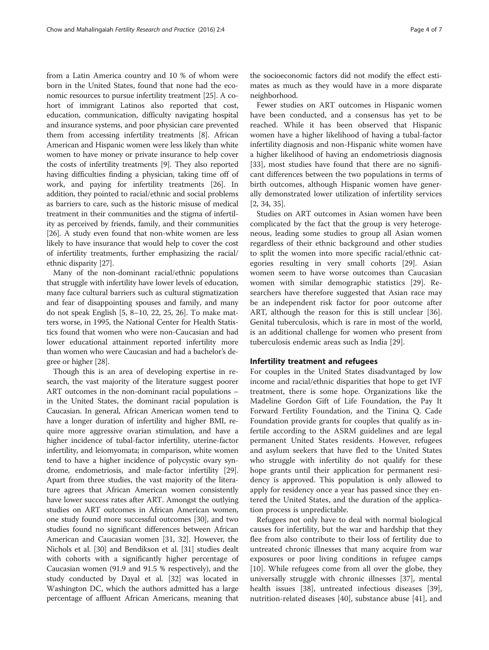from a Latin America country and 10 % of whom were born in the United States, found that none had the economic resources to pursue infertility treatment [\[25](#page--1-0)]. A cohort of immigrant Latinos also reported that cost, education, communication, difficulty navigating hospital and insurance systems, and poor physician care prevented them from accessing infertility treatments [\[8\]](#page-5-0). African American and Hispanic women were less likely than white women to have money or private insurance to help cover the costs of infertility treatments [\[9\]](#page-5-0). They also reported having difficulties finding a physician, taking time off of work, and paying for infertility treatments [[26](#page--1-0)]. In addition, they pointed to racial/ethnic and social problems as barriers to care, such as the historic misuse of medical treatment in their communities and the stigma of infertility as perceived by friends, family, and their communities [[26](#page--1-0)]. A study even found that non-white women are less likely to have insurance that would help to cover the cost of infertility treatments, further emphasizing the racial/ ethnic disparity [\[27\]](#page--1-0).

Many of the non-dominant racial/ethnic populations that struggle with infertility have lower levels of education, many face cultural barriers such as cultural stigmatization and fear of disappointing spouses and family, and many do not speak English [\[5](#page-5-0), [8](#page-5-0)–[10,](#page-5-0) [22, 25, 26\]](#page--1-0). To make matters worse, in 1995, the National Center for Health Statistics found that women who were non-Caucasian and had lower educational attainment reported infertility more than women who were Caucasian and had a bachelor's degree or higher [[28](#page--1-0)].

Though this is an area of developing expertise in research, the vast majority of the literature suggest poorer ART outcomes in the non-dominant racial populations – in the United States, the dominant racial population is Caucasian. In general, African American women tend to have a longer duration of infertility and higher BMI, require more aggressive ovarian stimulation, and have a higher incidence of tubal-factor infertility, uterine-factor infertility, and leiomyomata; in comparison, white women tend to have a higher incidence of polycystic ovary syndrome, endometriosis, and male-factor infertility [[29](#page--1-0)]. Apart from three studies, the vast majority of the literature agrees that African American women consistently have lower success rates after ART. Amongst the outlying studies on ART outcomes in African American women, one study found more successful outcomes [\[30\]](#page--1-0), and two studies found no significant differences between African American and Caucasian women [\[31, 32\]](#page--1-0). However, the Nichols et al. [\[30\]](#page--1-0) and Bendikson et al. [[31](#page--1-0)] studies dealt with cohorts with a significantly higher percentage of Caucasian women (91.9 and 91.5 % respectively), and the study conducted by Dayal et al. [\[32\]](#page--1-0) was located in Washington DC, which the authors admitted has a large percentage of affluent African Americans, meaning that

the socioeconomic factors did not modify the effect estimates as much as they would have in a more disparate neighborhood.

Fewer studies on ART outcomes in Hispanic women have been conducted, and a consensus has yet to be reached. While it has been observed that Hispanic women have a higher likelihood of having a tubal-factor infertility diagnosis and non-Hispanic white women have a higher likelihood of having an endometriosis diagnosis [[33\]](#page--1-0), most studies have found that there are no significant differences between the two populations in terms of birth outcomes, although Hispanic women have generally demonstrated lower utilization of infertility services [[2,](#page-5-0) [34, 35\]](#page--1-0).

Studies on ART outcomes in Asian women have been complicated by the fact that the group is very heterogeneous, leading some studies to group all Asian women regardless of their ethnic background and other studies to split the women into more specific racial/ethnic categories resulting in very small cohorts [[29\]](#page--1-0). Asian women seem to have worse outcomes than Caucasian women with similar demographic statistics [\[29\]](#page--1-0). Researchers have therefore suggested that Asian race may be an independent risk factor for poor outcome after ART, although the reason for this is still unclear [\[36](#page--1-0)]. Genital tuberculosis, which is rare in most of the world, is an additional challenge for women who present from tuberculosis endemic areas such as India [[29\]](#page--1-0).

#### Infertility treatment and refugees

For couples in the United States disadvantaged by low income and racial/ethnic disparities that hope to get IVF treatment, there is some hope. Organizations like the Madeline Gordon Gift of Life Foundation, the Pay It Forward Fertility Foundation, and the Tinina Q. Cade Foundation provide grants for couples that qualify as infertile according to the ASRM guidelines and are legal permanent United States residents. However, refugees and asylum seekers that have fled to the United States who struggle with infertility do not qualify for these hope grants until their application for permanent residency is approved. This population is only allowed to apply for residency once a year has passed since they entered the United States, and the duration of the application process is unpredictable.

Refugees not only have to deal with normal biological causes for infertility, but the war and hardship that they flee from also contribute to their loss of fertility due to untreated chronic illnesses that many acquire from war exposures or poor living conditions in refugee camps [[10\]](#page-5-0). While refugees come from all over the globe, they universally struggle with chronic illnesses [\[37](#page--1-0)], mental health issues [\[38\]](#page--1-0), untreated infectious diseases [\[39](#page--1-0)], nutrition-related diseases [[40](#page--1-0)], substance abuse [\[41\]](#page--1-0), and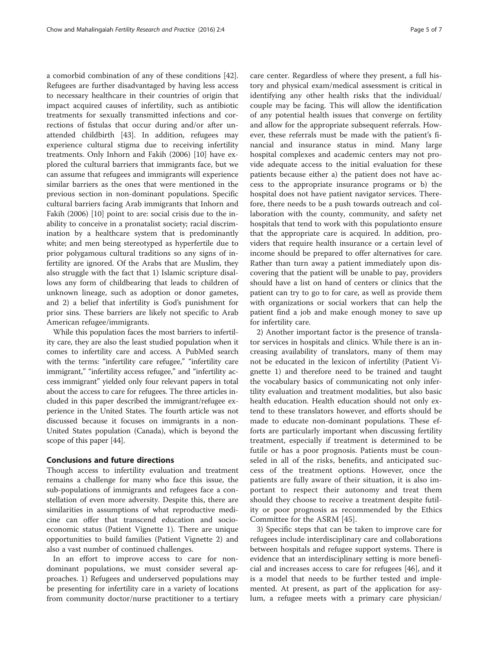a comorbid combination of any of these conditions [\[42](#page--1-0)]. Refugees are further disadvantaged by having less access to necessary healthcare in their countries of origin that impact acquired causes of infertility, such as antibiotic treatments for sexually transmitted infections and corrections of fistulas that occur during and/or after unattended childbirth [\[43](#page--1-0)]. In addition, refugees may experience cultural stigma due to receiving infertility treatments. Only Inhorn and Fakih (2006) [[10\]](#page-5-0) have explored the cultural barriers that immigrants face, but we can assume that refugees and immigrants will experience similar barriers as the ones that were mentioned in the previous section in non-dominant populations. Specific cultural barriers facing Arab immigrants that Inhorn and Fakih (2006) [\[10\]](#page-5-0) point to are: social crisis due to the inability to conceive in a pronatalist society; racial discrimination by a healthcare system that is predominantly white; and men being stereotyped as hyperfertile due to prior polygamous cultural traditions so any signs of infertility are ignored. Of the Arabs that are Muslim, they also struggle with the fact that 1) Islamic scripture disallows any form of childbearing that leads to children of unknown lineage, such as adoption or donor gametes, and 2) a belief that infertility is God's punishment for prior sins. These barriers are likely not specific to Arab American refugee/immigrants.

While this population faces the most barriers to infertility care, they are also the least studied population when it comes to infertility care and access. A PubMed search with the terms: "infertility care refugee," "infertility care immigrant," "infertility access refugee," and "infertility access immigrant" yielded only four relevant papers in total about the access to care for refugees. The three articles included in this paper described the immigrant/refugee experience in the United States. The fourth article was not discussed because it focuses on immigrants in a non-United States population (Canada), which is beyond the scope of this paper [[44](#page--1-0)].

## Conclusions and future directions

Though access to infertility evaluation and treatment remains a challenge for many who face this issue, the sub-populations of immigrants and refugees face a constellation of even more adversity. Despite this, there are similarities in assumptions of what reproductive medicine can offer that transcend education and socioeconomic status (Patient Vignette 1). There are unique opportunities to build families (Patient Vignette 2) and also a vast number of continued challenges.

In an effort to improve access to care for nondominant populations, we must consider several approaches. 1) Refugees and underserved populations may be presenting for infertility care in a variety of locations from community doctor/nurse practitioner to a tertiary care center. Regardless of where they present, a full history and physical exam/medical assessment is critical in identifying any other health risks that the individual/ couple may be facing. This will allow the identification of any potential health issues that converge on fertility and allow for the appropriate subsequent referrals. However, these referrals must be made with the patient's financial and insurance status in mind. Many large hospital complexes and academic centers may not provide adequate access to the initial evaluation for these patients because either a) the patient does not have access to the appropriate insurance programs or b) the hospital does not have patient navigator services. Therefore, there needs to be a push towards outreach and collaboration with the county, community, and safety net hospitals that tend to work with this populationto ensure that the appropriate care is acquired. In addition, providers that require health insurance or a certain level of income should be prepared to offer alternatives for care. Rather than turn away a patient immediately upon discovering that the patient will be unable to pay, providers should have a list on hand of centers or clinics that the patient can try to go to for care, as well as provide them with organizations or social workers that can help the patient find a job and make enough money to save up for infertility care.

2) Another important factor is the presence of translator services in hospitals and clinics. While there is an increasing availability of translators, many of them may not be educated in the lexicon of infertility (Patient Vignette 1) and therefore need to be trained and taught the vocabulary basics of communicating not only infertility evaluation and treatment modalities, but also basic health education. Health education should not only extend to these translators however, and efforts should be made to educate non-dominant populations. These efforts are particularly important when discussing fertility treatment, especially if treatment is determined to be futile or has a poor prognosis. Patients must be counseled in all of the risks, benefits, and anticipated success of the treatment options. However, once the patients are fully aware of their situation, it is also important to respect their autonomy and treat them should they choose to receive a treatment despite futility or poor prognosis as recommended by the Ethics Committee for the ASRM [\[45](#page--1-0)].

3) Specific steps that can be taken to improve care for refugees include interdisciplinary care and collaborations between hospitals and refugee support systems. There is evidence that an interdisciplinary setting is more beneficial and increases access to care for refugees [[46\]](#page--1-0), and it is a model that needs to be further tested and implemented. At present, as part of the application for asylum, a refugee meets with a primary care physician/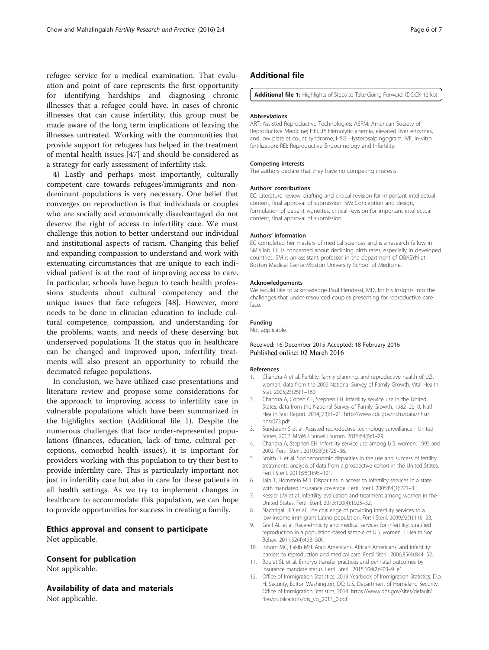<span id="page-5-0"></span>refugee service for a medical examination. That evaluation and point of care represents the first opportunity for identifying hardships and diagnosing chronic illnesses that a refugee could have. In cases of chronic illnesses that can cause infertility, this group must be made aware of the long term implications of leaving the illnesses untreated. Working with the communities that provide support for refugees has helped in the treatment of mental health issues [\[47](#page--1-0)] and should be considered as a strategy for early assessment of infertility risk.

4) Lastly and perhaps most importantly, culturally competent care towards refugees/immigrants and nondominant populations is very necessary. One belief that converges on reproduction is that individuals or couples who are socially and economically disadvantaged do not deserve the right of access to infertility care. We must challenge this notion to better understand our individual and institutional aspects of racism. Changing this belief and expanding compassion to understand and work with extenuating circumstances that are unique to each individual patient is at the root of improving access to care. In particular, schools have begun to teach health professions students about cultural competency and the unique issues that face refugees [[48\]](#page--1-0). However, more needs to be done in clinician education to include cultural competence, compassion, and understanding for the problems, wants, and needs of these deserving but underserved populations. If the status quo in healthcare can be changed and improved upon, infertility treatments will also present an opportunity to rebuild the decimated refugee populations.

In conclusion, we have utilized case presentations and literature review and propose some considerations for the approach to improving access to infertility care in vulnerable populations which have been summarized in the highlights section (Additional file 1). Despite the numerous challenges that face under-represented populations (finances, education, lack of time, cultural perceptions, comorbid health issues), it is important for providers working with this population to try their best to provide infertility care. This is particularly important not just in infertility care but also in care for these patients in all health settings. As we try to implement changes in healthcare to accommodate this population, we can hope to provide opportunities for success in creating a family.

## Ethics approval and consent to participate

Not applicable.

## Consent for publication

Not applicable.

Availability of data and materials Not applicable.

## Additional file

[Additional file 1:](dx.doi.org/10.1186/s40738-016-0017-6) Highlights of Steps to Take Going Forward. (DOCX 12 kb)

#### Abbreviations

ART: Assisted Reproductive Technologies; ASRM: American Society of Reproductive Medicine; HELLP: Hemolytic anemia, elevated liver enzymes, and low platelet count syndrome; HSG: Hysterosalpingogram; IVF: In-vitro fertilization; REI: Reproductive Endocrinology and Infertility.

#### Competing interests

The authors declare that they have no competing interests.

#### Authors' contributions

EC: Literature review, drafting and critical revision for important intellectual content, final approval of submission. SM: Conception and design, formulation of patient vignettes, critical revision for important intellectual content, final approval of submission.

#### Authors' information

EC completed her masters of medical sciences and is a research fellow in SM's lab. EC is concerned about declining birth rates, especially in developed countries. SM is an assistant professor in the department of OB/GYN at Boston Medical Center/Boston University School of Medicine.

#### Acknowledgements

We would like to acknowledge Paul Hendessi, MD, for his insights into the challenges that under-resourced couples presenting for reproductive care face.

## Funding

Not applicable.

#### Received: 16 December 2015 Accepted: 18 February 2016 Published online: 02 March 2016

#### References

- 1. Chandra A et al. Fertility, family planning, and reproductive health of U.S. women: data from the 2002 National Survey of Family Growth. Vital Health Stat. 2005;23(25):1–160.
- 2. Chandra A, Copen CE, Stephen EH. Infertility service use in the United States: data from the National Survey of Family Growth, 1982–2010. Natl Health Stat Report. 2014;(73):1–21. [http://www.cdc.gov/nchs/data/nhsr/](http://www.cdc.gov/nchs/data/nhsr/nhsr073.pdf) [nhsr073.pdf.](http://www.cdc.gov/nchs/data/nhsr/nhsr073.pdf)
- 3. Sunderam S et al. Assisted reproductive technology surveillance United States, 2012. MMWR Surveill Summ. 2015;64(6):1–29.
- 4. Chandra A, Stephen EH. Infertility service use among U.S. women: 1995 and 2002. Fertil Steril. 2010;93(3):725–36.
- 5. Smith JF et al. Socioeconomic disparities in the use and success of fertility treatments: analysis of data from a prospective cohort in the United States. Fertil Steril. 2011;96(1):95–101.
- Jain T, Hornstein MD. Disparities in access to infertility services in a state with mandated insurance coverage. Fertil Steril. 2005;84(1):221–3.
- 7. Kessler LM et al. Infertility evaluation and treatment among women in the United States. Fertil Steril. 2013;100(4):1025–32.
- 8. Nachtigall RD et al. The challenge of providing infertility services to a low-income immigrant Latino population. Fertil Steril. 2009;92(1):116–23.
- 9. Greil AL et al. Race-ethnicity and medical services for infertility: stratified reproduction in a population-based sample of U.S. women. J Health Soc Behav. 2011;52(4):493–509.
- 10. Inhorn MC, Fakih MH. Arab Americans, African Americans, and infertility: barriers to reproduction and medical care. Fertil Steril. 2006;85(4):844–52.
- 11. Boulet SL et al. Embryo transfer practices and perinatal outcomes by insurance mandate status. Fertil Steril. 2015;104(2):403–9. e1.
- 12. Office of Immigration Statistics. 2013 Yearbook of Immigration Statistics. D.o. H. Security, Editor. Washington, DC: U.S. Department of Homeland Security, Office of Immigration Statistics; 2014. [https://www.dhs.gov/sites/default/](https://www.dhs.gov/sites/default/files/publications/ois_yb_2013_0.pdf) [files/publications/ois\\_yb\\_2013\\_0.pdf](https://www.dhs.gov/sites/default/files/publications/ois_yb_2013_0.pdf).